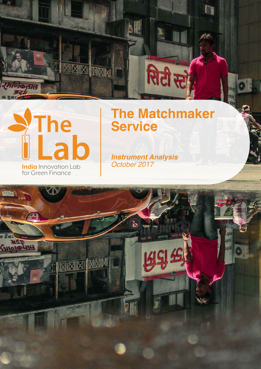



for Green Finance

# **The Matchmaker Service**

**Instrument Analysis** October 2017

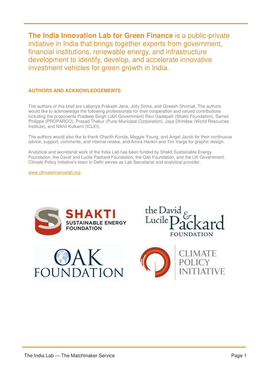**The India Innovation Lab for Green Finance** is a public-private initiative in India that brings together experts from government, financial institutions, renewable energy, and infrastructure development to identify, develop, and accelerate innovative investment vehicles for green growth in India.

### **AUTHORS AND ACKNOWLEDGEMENTS**

The authors of this brief are Labanya Prakash Jena, Jolly Sinha, and Gireesh Shrimali. The authors would like to acknowledge the following professionals for their cooperation and valued contributions including the proponents Pradeep Singh (J&K Government) Ravi Gadepalli (Shakti Foundation), Serres Philippe (PROPARCO), Prasad Thakur (Pune Municipal Corporation), Jaya Dhindaw (World Resources Institute), and Nikhil Kulkarni (ICLEI).

The authors would also like to thank Charith Konda, Maggie Young, and Angel Jacob for their continuous advice, support, comments, and internal review, and Amira Hankin and Tim Varga for graphic design.

Analytical and secretariat work of the India Lab has been funded by Shakti Sustainable Energy Foundation, the [David and Lucile Packard Foundation,](https://www.packard.org/) the [Oak](https://www.gov.uk/government/organisations/department-for-international-development) Foundation, and the UK Government. Climate Policy Initiative's team in Delhi serves as Lab Secretariat and analytical provider.

[www.climatefinancelab.org](http://www.climatefinancelab.org/) 







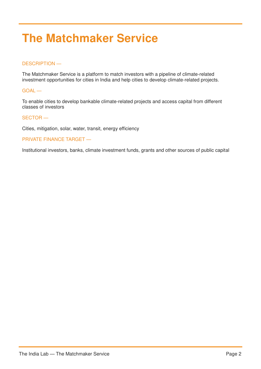# **The Matchmaker Service**

### DESCRIPTION —

The Matchmaker Service is a platform to match investors with a pipeline of climate-related investment opportunities for cities in India and help cities to develop climate-related projects.

#### GOAL —

To enable cities to develop bankable climate-related projects and access capital from different classes of investors

#### SECTOR —

Cities, mitigation, solar, water, transit, energy efficiency

#### PRIVATE FINANCE TARGET —

Institutional investors, banks, climate investment funds, grants and other sources of public capital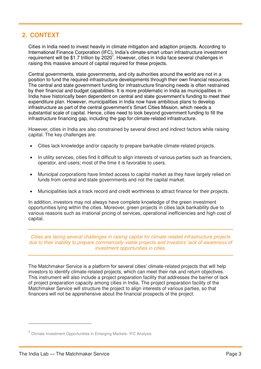# **2. CONTEXT**

Cities in India need to invest heavily in climate mitigation and adaption projects. According to International Finance Corporation (IFC), India's climate-smart urban infrastructure investment requirement will be \$1.7 trillion by 2020<sup>1</sup>. However, cities in India face several challenges in raising this massive amount of capital required for these projects.

Central governments, state governments, and city authorities around the world are not in a position to fund the required infrastructure developments through their own financial resources. The central and state government funding for infrastructure financing needs is often restrained by their financial and budget capabilities. It is more problematic in India as municipalities in India have historically been dependent on central and state government's funding to meet their expenditure plan. However, municipalities in India now have ambitious plans to develop infrastructure as part of the central government's Smart Cities Mission, which needs a substantial scale of capital. Hence, cities need to look beyond government funding to fill the infrastructure financing gap, including the gap for climate-related infrastructure.

However, cities in India are also constrained by several direct and indirect factors while raising capital. The key challenges are:

- Cities lack knowledge and/or capacity to prepare bankable climate-related projects.
- In utility services, cities find it difficult to align interests of various parties such as financiers, operator, and users; most of the time it is favorable to users.
- Municipal corporations have limited access to capital market as they have largely relied on funds from central and state governments and not the capital market.
- Municipalities lack a track record and credit worthiness to attract finance for their projects.

In addition, investors may not always have complete knowledge of the green investment opportunities lying within the cities. Moreover, green projects in cities lack bankability due to various reasons such as irrational pricing of services, operational inefficiencies and high cost of capital.

*Cities are facing several challenges in raising capital for climate-related infrastructure projects due to their inability to prepare commercially-viable projects and investors' lack of awareness of investment opportunities in cities.* 

The Matchmaker Service is a platform for several cities' climate-related projects that will help investors to identify climate-related projects, which can meet their risk and return objectives. This instrument will also include a project preparation facility that addresses the barrier of lack of project preparation capacity among cities in India. The project preparation facility of the Matchmaker Service will structure the project to align interests of various parties, so that financers will not be apprehensive about the financial prospects of the project.

<sup>&</sup>lt;sup>1</sup> Climate Investment Opportunities in Emerging Markets- IFC Analysis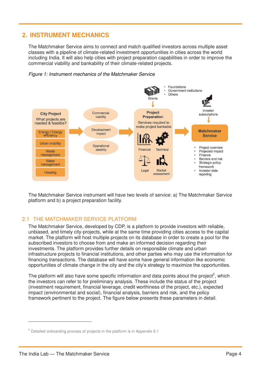# **2. INSTRUMENT MECHANICS**

The Matchmaker Service aims to connect and match qualified investors across multiple asset classes with a pipeline of climate-related investment opportunities in cities across the world including India. It will also help cities with project preparation capabilities in order to improve the commercial viability and bankability of their climate-related projects.





The Matchmaker Service instrument will have two levels of service: a) The Matchmaker Service platform and b) a project preparation facility.

## 2.1 THE MATCHMAKER SERVICE PLATFORM

The Matchmaker Service, developed by CDP, is a platform to provide investors with reliable, unbiased, and timely city-projects, while at the same time providing cities access to the capital market. The platform will host multiple projects on its database in order to create a pool for the subscribed investors to choose from and make an informed decision regarding their investments. The platform provides further details on responsible climate and urban infrastructure projects to financial institutions, and other parties who may use the information for financing transactions. The database will have some have general information like economic opportunities of climate change in the city and the city's strategy to maximize the opportunities.

The platform will also have some specific information and data points about the project<sup>2</sup>, which the investors can refer to for preliminary analysis. These include the status of the project (investment requirement, financial leverage, credit worthiness of the project, etc.), expected impact (environmental and social), financial analysis, barriers and risk, and the policy framework pertinent to the project. The figure below presents these parameters in detail.

 $2$  Detailed onboarding process of projects in the platform is in Appendix 6.1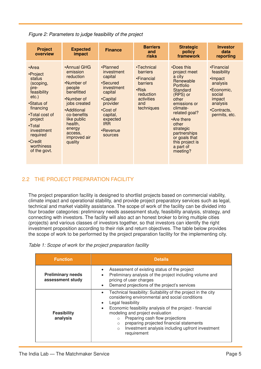| <b>Project</b><br>overview                                                                                                                                                                                       | <b>Expected</b><br>impact                                                                                                                                                                                        | <b>Finance</b>                                                                                                                                                          | <b>Barriers</b><br>and<br>risks                                                                                  | <b>Strategic</b><br>policy<br>framework                                                                                                                                                                                                                              | <b>Investor</b><br>data<br>reporting                                                                                           |
|------------------------------------------------------------------------------------------------------------------------------------------------------------------------------------------------------------------|------------------------------------------------------------------------------------------------------------------------------------------------------------------------------------------------------------------|-------------------------------------------------------------------------------------------------------------------------------------------------------------------------|------------------------------------------------------------------------------------------------------------------|----------------------------------------------------------------------------------------------------------------------------------------------------------------------------------------------------------------------------------------------------------------------|--------------------------------------------------------------------------------------------------------------------------------|
| •Area<br>•Project<br>status<br>(scoping,<br>pre-<br>feasibility<br>$etc.$ )<br>•Status of<br>financing<br>•Total cost of<br>project<br>•Total<br>investment<br>required<br>•Credit<br>worthiness<br>of the govt. | •Annual GHG<br>emission<br>reduction<br>•Number of<br>people<br>benefitted<br>•Number of<br>jobs created<br>•Additional<br>co-benefits<br>like public<br>health,<br>energy<br>access.<br>improved air<br>quality | •Planned<br>investment<br>capital<br>•Secured<br>investment<br>capital<br>•Capital<br>provider<br>•Cost of<br>capital,<br>expected<br><b>IRR</b><br>•Revenue<br>sources | •Technical<br>barriers<br>•Financial<br>barriers<br>$\cdot$ Risk<br>reduction<br>activities<br>and<br>techniques | •Does this<br>project meet<br>a city<br>Renewable<br><b>Portfolio</b><br>Standard<br>(RPS) or<br>other<br>emissions or<br>climate-<br>related goal?<br>•Are there<br>other<br>strategic<br>partnerships<br>or goals that<br>this project is<br>a part of<br>meeting? | •Financial<br>feasibility<br>•Impact<br>analysis<br>•Economic,<br>social<br>impact<br>analysis<br>•Contracts,<br>permits, etc. |

*Figure 2: Parameters to judge feasibility of the project*

## 2.2 THE PROJECT PREPARATION FACILITY

The project preparation facility is designed to shortlist projects based on commercial viability, climate impact and operational stability, and provide project preparatory services such as legal, technical and market viability assistance. The scope of work of the facility can be divided into four broader categories: preliminary needs assessment study, feasibility analysis, strategy, and connecting with investors. The facility will also act an honest broker to bring multiple cities (projects) and various classes of investors together, so that investors can identify the right investment proposition according to their risk and return objectives. The table below provides the scope of work to be performed by the project preparation facility for the implementing city.

| <b>Function</b>                              | <b>Details</b>                                                                                                                                                                                                                                                                                                                                                                                                                                                 |  |  |  |  |  |  |
|----------------------------------------------|----------------------------------------------------------------------------------------------------------------------------------------------------------------------------------------------------------------------------------------------------------------------------------------------------------------------------------------------------------------------------------------------------------------------------------------------------------------|--|--|--|--|--|--|
| <b>Preliminary needs</b><br>assessment study | Assessment of existing status of the project<br>$\bullet$<br>Preliminary analysis of the project including volume and<br>pricing of user charges<br>Demand projections of the project's services<br>$\bullet$                                                                                                                                                                                                                                                  |  |  |  |  |  |  |
| <b>Feasibility</b><br>analysis               | Technical feasibility: Suitability of the project in the city<br>$\bullet$<br>considering environmental and social conditions<br>Legal feasibility<br>$\bullet$<br>Economic feasibility analysis of the project - financial<br>$\bullet$<br>modeling and project evaluation<br>Preparing cash flow projections<br>$\circ$<br>preparing projected financial statements<br>$\circ$<br>Investment analysis including upfront investment<br>$\circ$<br>requirement |  |  |  |  |  |  |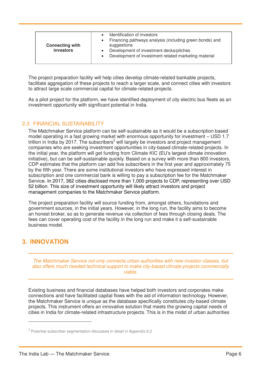| <b>Connecting with</b><br>investors | Identification of investors<br>Financing pathways analysis (including green bonds) and<br>$\bullet$<br>suggestions<br>Development of investment decks/pitches<br>$\bullet$<br>Development of investment related marketing material |
|-------------------------------------|------------------------------------------------------------------------------------------------------------------------------------------------------------------------------------------------------------------------------------|
|-------------------------------------|------------------------------------------------------------------------------------------------------------------------------------------------------------------------------------------------------------------------------------|

The project preparation facility will help cities develop climate-related bankable projects, facilitate aggregation of these projects to reach a larger scale, and connect cities with investors to attract large scale commercial capital for climate-related projects.

As a pilot project for the platform, we have identified deployment of city electric bus fleets as an investment opportunity with significant potential in India.

#### 2.3 FINANCIAL SUSTAINABILITY

The Matchmaker Service platform can be self-sustainable as it would be a subscription based model operating in a fast growing market with enormous opportunity for investment – USD 1.7 trillion in India by 2017. The subscribers<sup>3</sup> will largely be investors and project management companies who are seeking investment opportunities in city-based climate-related projects. In the initial year, the platform will get funding from Climate KIC (EU's largest climate innovation initiative), but can be self-sustainable quickly. Based on a survey with more than 800 investors, CDP estimates that the platform can add five subscribers in the first year and approximately 75 by the fifth year. There are some institutional investors who have expressed interest in subscription and one commercial bank is willing to pay a subscription fee for the Matchmaker Service. In 2017, 362 cities disclosed more than 1,000 projects to CDP, representing over USD 52 billion. This size of investment opportunity will likely attract investors and project management companies to the Matchmaker Service platform.

The project preparation facility will source funding from, amongst others, foundations and government sources, in the initial years. However, in the long run, the facility aims to become an honest broker, so as to generate revenue via collection of fees through closing deals. The fees can cover operating cost of the facility in the long run and make it a self-sustainable business model.

# **3. INNOVATION**

 $\overline{a}$ 

*The Matchmaker Service not only connects urban authorities with new investor classes, but also offers much needed technical support to make city-based climate projects commercially viable.* 

Existing business and financial databases have helped both investors and corporates make connections and have facilitated capital flows with the aid of information technology. However, the Matchmaker Service is unique as the database specifically constitutes city-based climate projects. This instrument offers an innovative solution that meets the growing capital needs of cities in India for climate-related infrastructure projects. This is in the midst of urban authorities

<sup>&</sup>lt;sup>3</sup> Potential subscriber segmentation discussed in detail in Appendix 6.2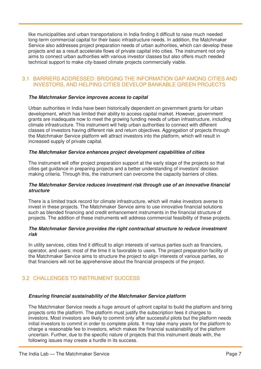like municipalities and urban transportations in India finding it difficult to raise much needed long-term commercial capital for their basic infrastructure needs. In addition, the Matchmaker Service also addresses project preparation needs of urban authorities, which can develop these projects and as a result accelerate flows of private capital into cities. The instrument not only aims to connect urban authorities with various investor classes but also offers much needed technical support to make city-based climate projects commercially viable.

#### 3.1 BARRIERS ADDRESSED: BRIDGING THE INFORMATION GAP AMONG CITIES AND INVESTORS, AND HELPING CITIES DEVELOP BANKABLE GREEN PROJECTS

#### *The Matchmaker Service improves access to capital*

Urban authorities in India have been historically dependent on government grants for urban development, which has limited their ability to access capital market. However, government grants are inadequate now to meet the growing funding needs of urban infrastructure, including climate infrastructure. This instrument will help urban authorities to connect with different classes of investors having different risk and return objectives. Aggregation of projects through the Matchmaker Service platform will attract investors into the platform, which will result in increased supply of private capital.

#### *The Matchmaker Service enhances project development capabilities of cities*

The instrument will offer project preparation support at the early stage of the projects so that cities get guidance in preparing projects and a better understanding of investors' decision making criteria. Through this, the instrument can overcome the capacity barriers of cities.

#### *The Matchmaker Service reduces investment risk through use of an innovative financial structure*

There is a limited track record for climate infrastructure, which will make investors averse to invest in these projects. The Matchmaker Service aims to use innovative financial solutions such as blended financing and credit enhancement instruments in the financial structure of projects. The addition of these instruments will address commercial feasibility of these projects.

#### *The Matchmaker Service provides the right contractual structure to reduce investment risk*

In utility services, cities find it difficult to align interests of various parties such as financiers, operator, and users; most of the time it is favorable to users. The project preparation facility of the Matchmaker Service aims to structure the project to align interests of various parties, so that financiers will not be apprehensive about the financial prospects of the project.

## 3.2 CHALLENGES TO INSTRUMENT SUCCESS

#### *Ensuring financial sustainability of the Matchmaker Service platform*

The Matchmaker Service needs a huge amount of upfront capital to build the platform and bring projects onto the platform. The platform must justify the subscription fees it charges to investors. Most investors are likely to commit only after successful pilots but the platform needs initial investors to commit in order to complete pilots. It may take many years for the platform to charge a reasonable fee to investors, which makes the financial sustainability of the platform uncertain. Further, due to the specific nature of projects that this instrument deals with, the following issues may create a hurdle in its success.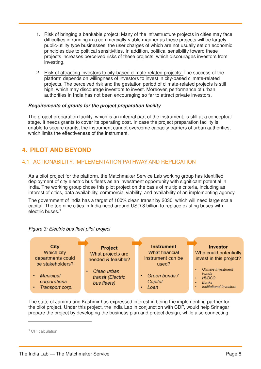- 1. Risk of bringing a bankable project: Many of the infrastructure projects in cities may face difficulties in running in a commercially-viable manner as these projects will be largely public-utility type businesses, the user charges of which are not usually set on economic principles due to political sensitivities. In addition, political sensibility toward these projects increases perceived risks of these projects, which discourages investors from investing.
- 2. Risk of attracting investors to city-based climate-related projects: The success of the platform depends on willingness of investors to invest in city-based climate-related projects. The perceived risk and the gestation period of climate-related projects is still high, which may discourage investors to invest. Moreover, performance of urban authorities in India has not been encouraging so far to attract private investors.

#### *Requirements of grants for the project preparation facility*

The project preparation facility, which is an integral part of the instrument, is still at a conceptual stage. It needs grants to cover its operating cost. In case the project preparation facility is unable to secure grants, the instrument cannot overcome capacity barriers of urban authorities, which limits the effectiveness of the instrument.

# **4. PILOT AND BEYOND**

## 4.1 ACTIONABILITY: IMPLEMENTATION PATHWAY AND REPLICATION

As a pilot project for the platform, the Matchmaker Service Lab working group has identified deployment of city electric bus fleets as an investment opportunity with significant potential in India. The working group chose this pilot project on the basis of multiple criteria, including as interest of cities, data availability, commercial viability, and availability of an implementing agency.

The government of India has a target of 100% clean transit by 2030, which will need large scale capital. The top nine cities in India need around USD 8 billion to replace existing buses with electric buses.



*Figure 3: Electric bus fleet pilot project* 

The state of Jammu and Kashmir has expressed interest in being the implementing partner for the pilot project. Under this project, the India Lab in conjunction with CDP, would help Srinagar prepare the project by developing the business plan and project design, while also connecting

<sup>4</sup> CPI calculation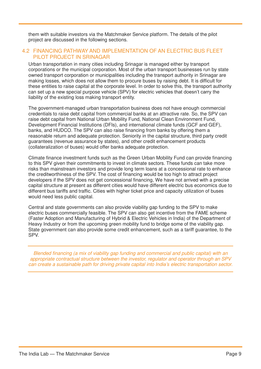them with suitable investors via the Matchmaker Service platform. The details of the pilot project are discussed in the following sections.

#### 4.2 FINANCING PATHWAY AND IMPLEMENTATION OF AN ELECTRIC BUS FLEET PILOT PROJECT IN SRINAGAR

Urban transportation in many cities including Srinagar is managed either by transport corporations or the municipal corporation. Most of the urban transport businesses run by state owned transport corporation or municipalities including the transport authority in Srinagar are making losses, which does not allow them to procure buses by raising debt. It is difficult for these entities to raise capital at the corporate level. In order to solve this, the transport authority can set up a new special purpose vehicle (SPV) for electric vehicles that doesn't carry the liability of the existing loss making transport entity.

The government-managed urban transportation business does not have enough commercial credentials to raise debt capital from commercial banks at an attractive rate. So, the SPV can raise debt capital from National Urban Mobility Fund, National Clean Environment Fund, Development Financial Institutions (DFIs), and international climate funds (GCF and GEF), banks, and HUDCO. The SPV can also raise financing from banks by offering them a reasonable return and adequate protection. Seniority in the capital structure, third party credit guarantees (revenue assurance by states), and other credit enhancement products (collateralization of buses) would offer banks adequate protection.

Climate finance investment funds such as the Green Urban Mobility Fund can provide financing to this SPV given their commitments to invest in climate sectors. These funds can take more risks than mainstream investors and provide long term loans at a concessional rate to enhance the creditworthiness of the SPV. The cost of financing would be too high to attract project developers if the SPV does not get concessional financing, We have not arrived with a precise capital structure at present as different cities would have different electric bus economics due to different bus tariffs and traffic. Cities with higher ticket price and capacity utilization of buses would need less public capital.

Central and state governments can also provide viability gap funding to the SPV to make electric buses commercially feasible. The SPV can also get incentive from the FAME scheme (Faster Adoption and Manufacturing of Hybrid & Electric Vehicles in India) of the Department of Heavy Industry or from the upcoming green mobility fund to bridge some of the viability gap. State government can also provide some credit enhancement, such as a tariff guarantee, to the SPV.

*Blended financing (a mix of viability gap funding and commercial and public capital) with an appropriate contractual structure between the investor, regulator and operator through an SPV can create a sustainable path for driving private capital into India's electric transportation sector.*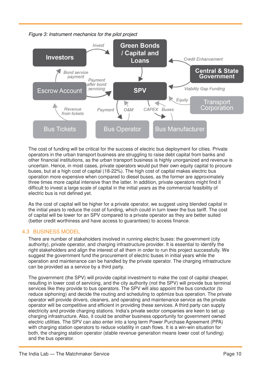

*Figure 3: Instrument mechanics for the pilot project*

The cost of funding will be critical for the success of electric bus deployment for cities. Private operators in the urban transport business are struggling to raise debt capital from banks and other financial institutions, as the urban transport business is highly unorganized and revenue is uncertain. Hence, in most cases, private operators would put their own equity capital to procure buses, but at a high cost of capital (18-22%). The high cost of capital makes electric bus operation more expensive when compared to diesel buses, as the former are approximately three times more capital intensive than the latter. In addition, private operators might find it difficult to invest a large scale of capital in the initial years as the commercial feasibility of electric bus is not defined yet.

As the cost of capital will be higher for a private operator, we suggest using blended capital in the initial years to reduce the cost of funding, which could in turn lower the bus tariff. The cost of capital will be lower for an SPV compared to a private operator as they are better suited (better credit worthiness and have access to guarantees) to access finance.

## 4.3 BUSINESS MODEL

There are number of stakeholders involved in running electric buses: the government (city authority), private operator, and charging infrastructure provider. It is essential to identify the right stakeholders and align the interest of all them in order to run this project successfully. We suggest the government fund the procurement of electric buses in initial years while the operation and maintenance can be handled by the private operator. The charging infrastructure can be provided as a service by a third party.

The government (the SPV) will provide capital investment to make the cost of capital cheaper, resulting in lower cost of servicing, and the city authority (not the SPV) will provide bus terminal services like they provide to bus operators. The SPV will also appoint the bus conductor (to reduce siphoning) and decide the routing and scheduling to optimize bus operation. The private operator will provide drivers, cleaners, and operating and maintenance service as the private operator will be competitive and efficient in providing these services. A third party can supply electricity and provide charging stations. India's private sector companies are keen to set up charging infrastructure. Also, it could be another business opportunity for government owned electric utilities. The SPV can also enter into a long term Power Purchase Agreement (PPA) with charging station operators to reduce volatility in cash flows. It is a win-win situation for both, the charging station operator (stable revenue generation means lower cost of funding) and the bus operator.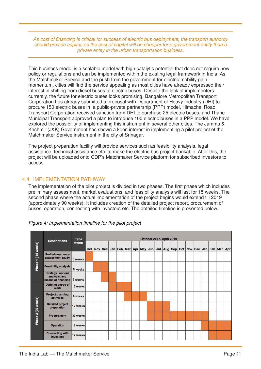*As cost of financing is critical for success of electric bus deployment, the transport authority should provide capital, as the cost of capital will be cheaper for a government entity than a private entity in the urban transportation business.* 

This business model is a scalable model with high catalytic potential that does not require new policy or regulations and can be implemented within the existing legal framework in India. As the Matchmaker Service and the push from the government for electric mobility gain momentum, cities will find the service appealing as most cities have already expressed their interest in shifting from diesel buses to electric buses. Despite the lack of implementers currently, the future for electric buses looks promising. Bangalore Metropolitan Transport Corporation has already submitted a proposal with Department of Heavy Industry (DHI) to procure 150 electric buses in a public-private partnership (PPP) model, Himachal Road Transport Corporation received sanction from DHI to purchase 25 electric buses, and Thane Municipal Transport approved a plan to introduce 100 electric buses in a PPP model. We have explored the possibility of implementing this instrument in several other cities. The Jammu & Kashmir (J&K) Government has shown a keen interest in implementing a pilot project of the Matchmaker Service instrument in the city of Srinagar.

The project preparation facility will provide services such as feasibility analysis, legal assistance, technical assistance etc. to make the electric bus project bankable. After this, the project will be uploaded onto CDP's Matchmaker Service platform for subscribed investors to access.

#### 4.4 IMPLEMENTATION PATHWAY

The implementation of the pilot project is divided in two phases. The first phase which includes preliminary assessment, market evaluations, and feasibility analysis will last for 15 weeks. The second phase where the actual implementation of the project begins would extend till 2019 (approximately 90 weeks). It includes creation of the detailed project report, procurement of buses, operation, connecting with investors etc. The detailed timeline is presented below.

|                                                             | <b>Descriptions</b>                                             | <b>Time</b><br>frame | October 2017- April 2019 |  |                |  |  |                 |  |  |         |  |             |  |  |             |             |     |
|-------------------------------------------------------------|-----------------------------------------------------------------|----------------------|--------------------------|--|----------------|--|--|-----------------|--|--|---------|--|-------------|--|--|-------------|-------------|-----|
| 15 weeks)<br>$\overline{\phantom{0}}$<br>Phase <sub>1</sub> |                                                                 |                      | Oct                      |  | <b>Nov Dec</b> |  |  | Jan Feb Mar Apr |  |  | May Jun |  | Jul Aug Sep |  |  | Oct Nov Dec | Jan Feb Mar | Apr |
|                                                             | <b>Preliminary needs</b><br>assessment study                    | 3 weeks              |                          |  |                |  |  |                 |  |  |         |  |             |  |  |             |             |     |
|                                                             | <b>Feasibility analysis</b>                                     | 6 weeks              |                          |  |                |  |  |                 |  |  |         |  |             |  |  |             |             |     |
|                                                             | <b>Strategy, options</b><br>analysis, and<br>means of financing | 6 weeks              |                          |  |                |  |  |                 |  |  |         |  |             |  |  |             |             |     |
|                                                             | Defining scope of<br>work                                       | 10 weeks             |                          |  |                |  |  |                 |  |  |         |  |             |  |  |             |             |     |
|                                                             | <b>Project planning</b><br><b>activities</b>                    | 8 weeks              |                          |  |                |  |  |                 |  |  |         |  |             |  |  |             |             |     |
|                                                             | <b>Detailed project</b><br>preparation                          | 12 weeks             |                          |  |                |  |  |                 |  |  |         |  |             |  |  |             |             |     |
| Phase 2 (90 weeks)                                          | <b>Procurement</b>                                              | 30 weeks             |                          |  |                |  |  |                 |  |  |         |  |             |  |  |             |             |     |
|                                                             | <b>Operation</b>                                                | 18 weeks             |                          |  |                |  |  |                 |  |  |         |  |             |  |  |             |             |     |
|                                                             | <b>Connecting with</b><br>investors                             | 12 weeks             |                          |  |                |  |  |                 |  |  |         |  |             |  |  |             |             |     |

*Figure 4: Implementation timeline for the pilot project*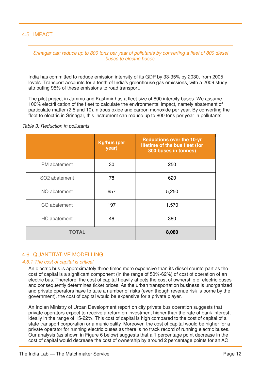## 4.5 IMPACT

*Srinagar can reduce up to 800 tons per year of pollutants by converting a fleet of 800 diesel buses to electric buses.*

India has committed to reduce emission intensity of its GDP by 33-35% by 2030, from 2005 levels. Transport accounts for a tenth of India's greenhouse gas emissions, with a 2009 study attributing 95% of these emissions to road transport.

The pilot project in Jammu and Kashmir has a fleet size of 800 intercity buses. We assume 100% electrification of the fleet to calculate the environmental impact, namely abatement of particulate matter (2.5 and 10), nitrous oxide and carbon monoxide per year. By converting the fleet to electric in Srinagar, this instrument can reduce up to 800 tons per year in pollutants.

*Table 3: Reduction in pollutants* 

|               | <b>Kg/bus (per</b><br>year) | <b>Reductions over the 10-yr</b><br>lifetime of the bus fleet (for<br>800 buses in tonnes) |  |  |  |  |  |
|---------------|-----------------------------|--------------------------------------------------------------------------------------------|--|--|--|--|--|
| PM abatement  | 30                          | 250                                                                                        |  |  |  |  |  |
| SO2 abatement | 78                          | 620                                                                                        |  |  |  |  |  |
| NO abatement  | 657                         | 5,250                                                                                      |  |  |  |  |  |
| CO abatement  | 197                         | 1,570                                                                                      |  |  |  |  |  |
| HC abatement  | 48                          | 380                                                                                        |  |  |  |  |  |
| <b>TOTAL</b>  | 8,080                       |                                                                                            |  |  |  |  |  |

#### 4.6 QUANTITATIVE MODELLING

#### *4.6.1 The cost of capital is critical*

An electric bus is approximately three times more expensive than its diesel counterpart as the cost of capital is a significant component (in the range of 50%-62%) of cost of operation of an electric bus. Therefore, the cost of capital heavily affects the cost of ownership of electric buses and consequently determines ticket prices. As the urban transportation business is unorganized and private operators have to take a number of risks (even though revenue risk is borne by the government), the cost of capital would be expensive for a private player.

An Indian Ministry of Urban Development report on city private bus operation suggests that private operators expect to receive a return on investment higher than the rate of bank interest, ideally in the range of 15-22%. This cost of capital is high compared to the cost of capital of a state transport corporation or a municipality. Moreover, the cost of capital would be higher for a private operator for running electric buses as there is no track record of running electric buses. Our analysis (as shown in Figure 6 below) suggests that a 1 percentage point decrease in the cost of capital would decrease the cost of ownership by around 2 percentage points for an AC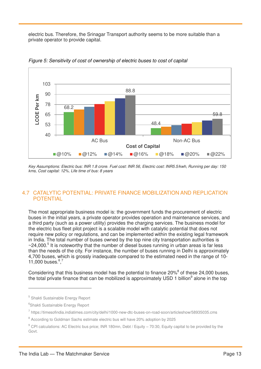electric bus. Therefore, the Srinagar Transport authority seems to be more suitable than a private operator to provide capital.



*Figure 5: Sensitivity of cost of ownership of electric buses to cost of capital* 

*Key Assumptions: Electric bus: INR 1.8 crore. Fuel cost: INR 56, Electric cost: INR5.5/kwh, Running per day: 150 kms, Cost capital: 12%, Life time of bus: 8 years*

## 4.7 CATALYTIC POTENTIAL: PRIVATE FINANCE MOBILIZATION AND REPLICATION POTENTIAL

The most appropriate business model is: the government funds the procurement of electric buses in the initial years, a private operator provides operation and maintenance services, and a third party (such as a power utility) provides the charging services. The business model for the electric bus fleet pilot project is a scalable model with catalytic potential that does not require new policy or regulations, and can be implemented within the existing legal framework in India. The total number of buses owned by the top nine city transportation authorities is  $\sim$ 24,000.<sup>5</sup> It is noteworthy that the number of diesel buses running in urban areas is far less than the needs of the city. For instance, the number of buses running in Delhi is approximately 4,700 buses, which is grossly inadequate compared to the estimated need in the range of 10- 11,000 buses. $6,7$ 

Considering that this business model has the potential to finance  $20\%$ <sup>8</sup> of these 24,000 buses, the total private finance that can be mobilized is approximately USD 1 billion<sup>9</sup> alone in the top

<sup>&</sup>lt;sup>5</sup> Shakti Sustainable Energy Report

<sup>6</sup> Shakti Sustainable Energy Report

<sup>&</sup>lt;sup>7</sup> https://timesofindia.indiatimes.com/city/delhi/1000-new-dtc-buses-on-road-soon/articleshow/58935035.cms

<sup>&</sup>lt;sup>8</sup> According to Goldman Sachs estimate electric bus will have 20% adoption by 2025

<sup>&</sup>lt;sup>9</sup> CPI calculations: AC Electric bus price; INR 180mn, Debt / Equity – 70:30, Equity capital to be provided by the Govt.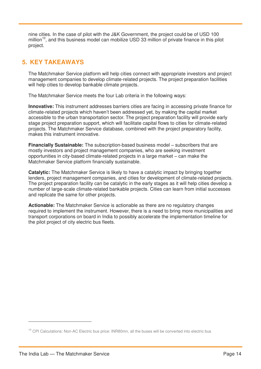nine cities. In the case of pilot with the J&K Government, the project could be of USD 100 million<sup>10</sup>, and this business model can mobilize USD 33 million of private finance in this pilot project.

# **5. KEY TAKEAWAYS**

The Matchmaker Service platform will help cities connect with appropriate investors and project management companies to develop climate-related projects. The project preparation facilities will help cities to develop bankable climate projects.

The Matchmaker Service meets the four Lab criteria in the following ways:

**Innovative:** This instrument addresses barriers cities are facing in accessing private finance for climate-related projects which haven't been addressed yet, by making the capital market accessible to the urban transportation sector. The project preparation facility will provide early stage project preparation support, which will facilitate capital flows to cities for climate-related projects. The Matchmaker Service database, combined with the project preparatory facility, makes this instrument innovative.

**Financially Sustainable:** The subscription-based business model – subscribers that are mostly investors and project management companies, who are seeking investment opportunities in city-based climate-related projects in a large market – can make the Matchmaker Service platform financially sustainable.

**Catalytic:** The Matchmaker Service is likely to have a catalytic impact by bringing together lenders, project management companies, and cities for development of climate-related projects. The project preparation facility can be catalytic in the early stages as it will help cities develop a number of large-scale climate-related bankable projects. Cities can learn from initial successes and replicate the same for other projects.

**Actionable:** The Matchmaker Service is actionable as there are no regulatory changes required to implement the instrument. However, there is a need to bring more municipalities and transport corporations on board in India to possibly accelerate the implementation timeline for the pilot project of city electric bus fleets.

<sup>&</sup>lt;sup>10</sup> CPI Calculations: Non-AC Electric bus price: INR80mn, all the buses will be converted into electric bus